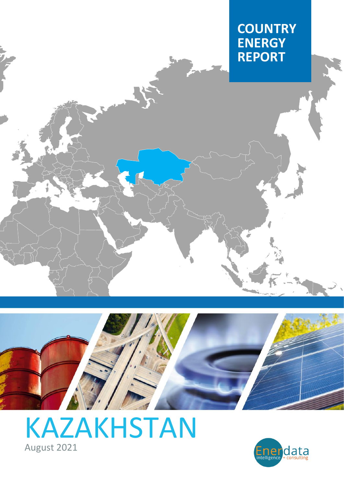



# [KAZAKHSTAN](https://www.enerdata.net/estore/country-profiles/kazakhstan.html) August 2021

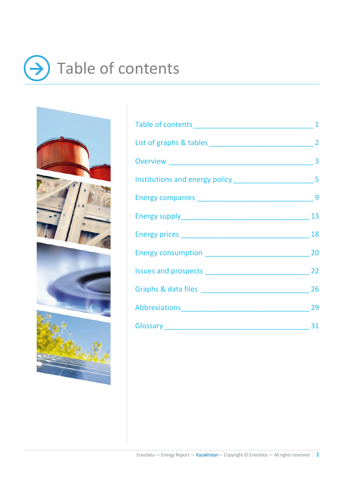# <span id="page-1-0"></span>Table of contents →





| Abbreviations 29 |  |
|------------------|--|
|                  |  |